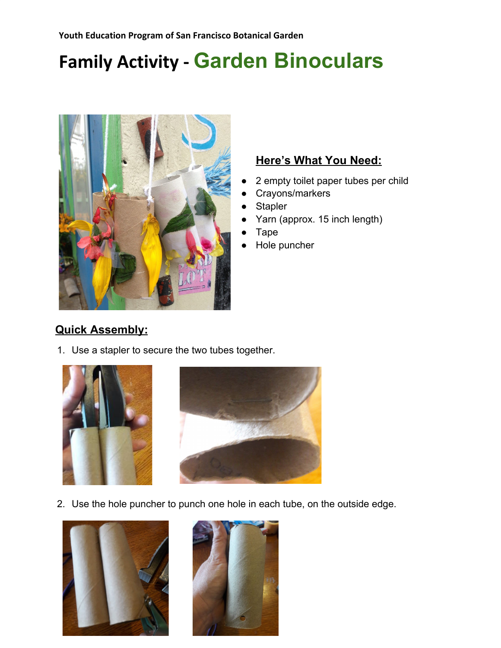# **Family Activity - Garden Binoculars**



#### **Here's What You Need:**

- 2 empty toilet paper tubes per child
- Crayons/markers
- **Stapler**
- Yarn (approx. 15 inch length)
- **Tape**
- Hole puncher

### **Quick Assembly:**

1. Use a stapler to secure the two tubes together.





2. Use the hole puncher to punch one hole in each tube, on the outside edge.